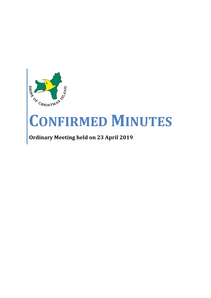

# **CONFIRMED MINUTES**

# **Ordinary Meeting held on 23 April 2019**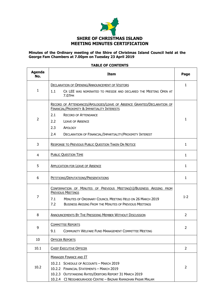

# **Minutes of the Ordinary meeting of the Shire of Christmas Island Council held at the George Fam Chambers at 7.00pm on Tuesday 23 April 2019**

# **Agenda No. Item Page** 1 DECLARATION OF OPENING/ANNOUNCEMENT OF VISITORS 1.1 CR LEE WAS NOMINATED TO PRESIDE AND DECLARED THE MEETING OPEN AT 7.07PM 1  $\overline{2}$ RECORD OF ATTENDANCES/APOLOGIES/LEAVE OF ABSENCE GRANTED/DECLARATION OF FINANCIAL/PROXIMITY & IMPARTIALITY INTERESTS 2.1 RECORD OF ATTENDANCE 2.2 LEAVE OF ABSENCE 2.3 APOLOGY 2.4 DECLARATION OF FINANCIAL/IMPARTIALITY/PROXIMITY INTEREST 1 3 RESPONSE TO PREVIOUS PUBLIC QUESTION TAKEN ON NOTICE 1 4 PUBLIC QUESTION TIME 1 5 APPLICATION FOR LEAVE OF ABSENCE **1** 1 6 PETITIONS/DEPUTATIONS/PRESENTATIONS 1 7 CONFIRMATION OF MINUTES OF PREVIOUS MEETING(S)/BUSINESS ARISING FROM PREVIOUS MEETINGS 7.1 MINUTES OF ORDINARY COUNCIL MEETING HELD ON 26 MARCH 2019 7.2 BUSINESS ARISING FROM THE MINUTES OF PREVIOUS MEETINGS  $1 - 2$ 8 ANNOUNCEMENTS BY THE PRESIDING MEMBER WITHOUT DISCUSSION 2 9 COMMITTEE REPORTS 9.1 COMMUNITY WELFARE FUND MANAGEMENT COMMITTEE MEETING  $\mathcal{L}$ 10 **OFFICER REPORTS** 10.1 CHIEF EXECUTIVE OFFICER **2** 10.2 MANAGER FINANCE AND IT 10.2.1 SCHEDULE OF ACCOUNTS – MARCH 2019 10.2.2 FINANCIAL STATEMENTS – MARCH 2019 10.2.3 OUTSTANDING RATES/DEBTORS REPORT 31 MARCH 2019 10.2.4 CI NEIGHBOURHOOD CENTRE – BAZAAR RAMADHAN PASAR MALAM 2

#### **TABLE OF CONTENTS**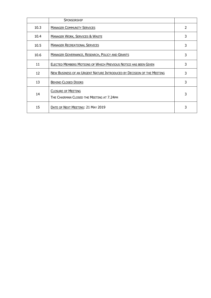|      | <b>SPONSORSHIP</b>                                                     |                          |
|------|------------------------------------------------------------------------|--------------------------|
| 10.3 | <b>MANAGER COMMUNITY SERVICES</b>                                      | $\overline{\mathcal{L}}$ |
| 10.4 | <b>MANAGER WORK, SERVICES &amp; WASTE</b>                              | 3                        |
| 10.5 | <b>MANAGER RECREATIONAL SERVICES</b>                                   | 3                        |
| 10.6 | <b>MANAGER GOVERNANCE, RESEARCH, POLICY AND GRANTS</b>                 | 3                        |
| 11   | ELECTED MEMBERS MOTIONS OF WHICH PREVIOUS NOTICE HAS BEEN GIVEN        | 3                        |
| 12   | NEW BUSINESS OF AN URGENT NATURE INTRODUCED BY DECISION OF THE MEETING | 3                        |
| 13   | <b>BEHIND CLOSED DOORS</b>                                             | 3                        |
| 14   | <b>CLOSURE OF MEETING</b><br>THE CHAIRMAN CLOSED THE MEETING AT 7.24PM | 3                        |
| 15   | DATE OF NEXT MEETING: 21 MAY 2019                                      | 3                        |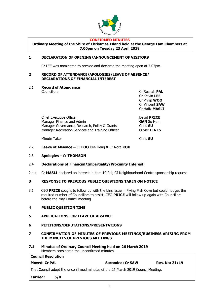

#### **CONFIRMED MINUTES**

**Ordinary Meeting of the Shire of Christmas Island held at the George Fam Chambers at 7.00pm on Tuesday 23 April 2019**

# **1 DECLARATION OF OPENING/ANNOUNCEMENT OF VISITORS**

Cr LEE was nominated to preside and declared the meeting open at 7.07pm.

# **2 RECORD OF ATTENDANCE/APOLOGIES/LEAVE OF ABSENCE/ DECLARATIONS OF FINANCIAL INTEREST**

# 2.1 **Record of Attendance**

Councillors Cr Rosnah **PAL** Cr Kelvin **LEE** Cr Philip **WOO** Cr Vincent **SAW** Cr Hafiz **MASLI**

Chief Executive Officer David **PRICE** Manager Finance and Admin **GAN** So Hon Manager Governance, Research, Policy & Grants<br>
Manager Recreation Services and Training Officer **Collager Container Manager Recreation Services and Training Officer** 

Minute Taker Chris **SU**

- 2.2 **Leave of Absence –** Cr **FOO** Kee Heng & Cr Nora **KOH**
- 2.3 **Apologies –** Cr **THOMSON**
- 2.4 **Declarations of Financial/Impartiality/Proximity Interest**
- 2.4.1 Cr **MASLI** declared an interest in item 10.2.4, CI Neighbourhood Centre sponsorship request

# **3 RESPONSE TO PREVIOUS PUBLIC QUESTIONS TAKEN ON NOTICE**

- 3.1 CEO **PRICE** sought to follow up with the bins issue in Flying Fish Cove but could not get the required number of Councillors to assist; CEO **PRICE** will follow up again with Councillors before the May Council meeting.
- **4 PUBLIC QUESTION TIME**
- **5 APPLICATIONS FOR LEAVE OF ABSENCE**
- **6 PETITIONS/DEPUTATIONS/PRESENTATIONS**
- **7 CONFIRMATION OF MINUTES OF PREVIOUS MEETINGS/BUSINESS ARISING FROM THE MINUTES OF PREVIOUS MEETINGS**
- **7.1 Minutes of Ordinary Council Meeting held on 26 March 2019** Members considered the unconfirmed minutes.

| <b>Council Resolution</b>                                                        |     |                         |                       |  |
|----------------------------------------------------------------------------------|-----|-------------------------|-----------------------|--|
| <b>Moved: Cr PAL</b>                                                             |     | <b>Seconded: Cr SAW</b> | <b>Res. No: 21/19</b> |  |
| That Council adopt the unconfirmed minutes of the 26 March 2019 Council Meeting. |     |                         |                       |  |
| <b>Carried:</b>                                                                  | 5/0 |                         |                       |  |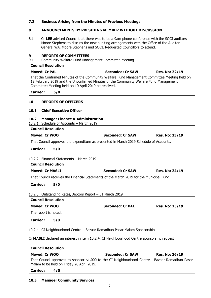# **7.2 Business Arising from the Minutes of Previous Meetings**

# **8 ANNOUNCEMENTS BY PRESIDING MEMBER WITHOUT DISCUSSION**

8.1 Cr **LEE** advised Council that there was to be a 9am phone conference with the SOCI auditors Moore Stephens to discuss the new auditing arrangements with the Office of the Auditor General WA, Moore Stephens and SOCI. Requested Councillors to attend.

# **9 REPORTS OF COMMITTEES**

9.1 Community Welfare Fund Management Committee Meeting

| <b>Council Resolution</b> |                                                                                                                                                                                                                                                |                         |                       |
|---------------------------|------------------------------------------------------------------------------------------------------------------------------------------------------------------------------------------------------------------------------------------------|-------------------------|-----------------------|
| <b>Moved: Cr PAL</b>      |                                                                                                                                                                                                                                                | <b>Seconded: Cr SAW</b> | <b>Res. No: 22/19</b> |
|                           | That the Confirmed Minutes of the Community Welfare Fund Management Committee Meeting held on<br>12 February 2019 and the Unconfirmed Minutes of the Community Welfare Fund Management<br>Committee Meeting held on 10 April 2019 be received. |                         |                       |
| <b>Carried:</b>           | 5/0                                                                                                                                                                                                                                            |                         |                       |
|                           |                                                                                                                                                                                                                                                |                         |                       |

# **10 REPORTS OF OFFICERS**

# **10.1 Chief Executive Officer**

# **10.2 Manager Finance & Administration**

10.2.1 Schedule of Accounts – March 2019 **Council Resolution**

| <b>COUNCIL RESOLUTION</b>                                                              |                  |                       |
|----------------------------------------------------------------------------------------|------------------|-----------------------|
| Moved: Cr WOO                                                                          | Seconded: Cr SAW | <b>Res. No: 23/19</b> |
| That Council approves the expenditure as presented in March 2019 Schedule of Accounts. |                  |                       |

**Carried: 5/0**

10.2.2 Financial Statements – March 2019

| <b>Council Resolution</b>                                                                |     |                         |                       |  |
|------------------------------------------------------------------------------------------|-----|-------------------------|-----------------------|--|
| <b>Moved: Cr MASLI</b>                                                                   |     | <b>Seconded: Cr SAW</b> | <b>Res. No: 24/19</b> |  |
| That Council receives the Financial Statements of the March 2019 for the Municipal Fund. |     |                         |                       |  |
| <b>Carried:</b>                                                                          | 5/0 |                         |                       |  |

10.2.3 Outstanding Rates/Debtors Report – 31 March 2019

| <b>Council Resolution</b> |                         |                       |
|---------------------------|-------------------------|-----------------------|
| Moved: Cr WOO             | <b>Seconded: Cr PAL</b> | <b>Res. No: 25/19</b> |
| The report is noted.      |                         |                       |
| <b>Carried:</b><br>5/0    |                         |                       |

10.2.4 CI Neighbourhood Centre – Bazaar Ramadhan Pasar Malam Sponsorship

Cr **MASLI** declared an interest in item 10.2.4, CI Neighbourhood Centre sponsorship request

| <b>Council Resolution</b>                                                                                                                    |                         |                       |  |  |
|----------------------------------------------------------------------------------------------------------------------------------------------|-------------------------|-----------------------|--|--|
| Moved: Cr WOO                                                                                                                                | <b>Seconded: Cr SAW</b> | <b>Res. No: 26/19</b> |  |  |
| That Council approves to sponsor \$1,000 to the CI Neighbourhood Centre - Bazaar Ramadhan Pasar<br>Malam to be held on Friday 26 April 2019. |                         |                       |  |  |
| <b>Carried:</b><br>4/0                                                                                                                       |                         |                       |  |  |

**10.3 Manager Community Services**